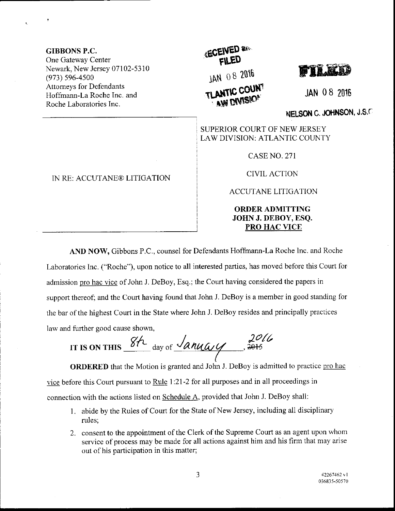GTBBONS P.C, One Gateway Center Newark, New Jersey 07102-5310 (973) s96-4500 Attorneys for Defendants Hoffmann-La Roche Inc. and Roche Laboratories Inc.

## IN RE: ACCUTANE® LITIGATION

## **ECEIVED and** jAN oB 201b TLANTIC COUN



JAN 0 8 <sup>2916</sup>

NELSON C. JOHNSON, J.S.C

SUPERIOR COURT OF NEW JERSEY LAW DIVISION: ATLANTIC COUNTY

CASE NO. 271

CIVIL ACTION

ACCUTANE LITIGATION

ORDERADMITTING JOHN J. DEBOY, ESQ. PRO HAC VICE

AND NOW, Gibbons P.C., counsel for Defendants Hoffmann-La Roche lnc. and Roche Laboratories lnc. ("Roche"), upon notice to all interested parties, has moved before this Court for admission pro hac vice of John J. DeBoy, Esq.; the Court having considered the papers in support thereof; and the Court having found that John J. DeBoy is a member in good standing for the bar of the highest Court in the State where John J. DeBoy resides and principally practices law and further good cause shown,

 $8h$ <sub>day of</sub>  $\frac{1}{20h}$   $\frac{20h}{1}$ ( IT IS ON THIS

ORDERED that the Motion is granted and John J. DeBoy is admitted to practice pro hac vice before this Court pursuant to Rule 1:21-2 for all purposes and in all proceedings in connection with the actions listed on Schedule A, provided that John J. DeBoy shall:

- 1. abide by the Rules of Court for the State of New Jersey, including all disciplinary rules;
- 2. consent to the appointment of the Clerk of the Supreme Court as an agent upon whom service of process may be made for all actions against him and his firm that may arise out of his participation in this matter;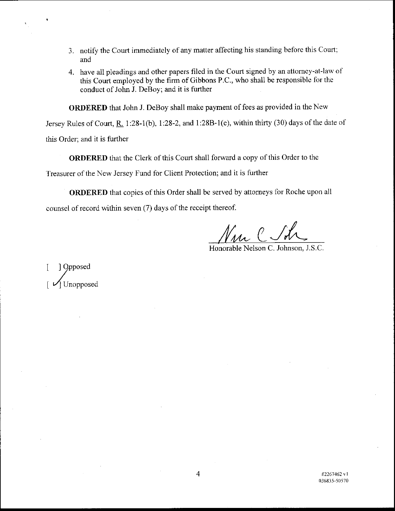- 3. notify the Court immediately of any matter affecting his standing before this Court; and
- 4. have all pleadings and other papers hled in the Court signed by an attorney-at-law of this Court employed by the firm of Gibbons P.C., who shall be responsible for the conduct of John J. DeBoy; and it is further

ORDERED that John J. DeBoy shall make payment of fees as provided in the New

Jersey Rules of Court,  $R_1$  1:28-1(b), 1:28-2, and 1:28B-1(e), within thirty (30) days of the date of this Order; and it is further

ORDERED that the Clerk of this Court shall forward a copy of this Order to the Treasurer of the New Jersey Fund for Client Protection; and it is fuither

ORDERED that copies of this Order shall be served by attorneys for Roche upon all counsel of record within seven (7) days of the receipt thereof.

Honorable Nelson C. Johnson, J.S.C.

1 Opposed 1 Unopposed